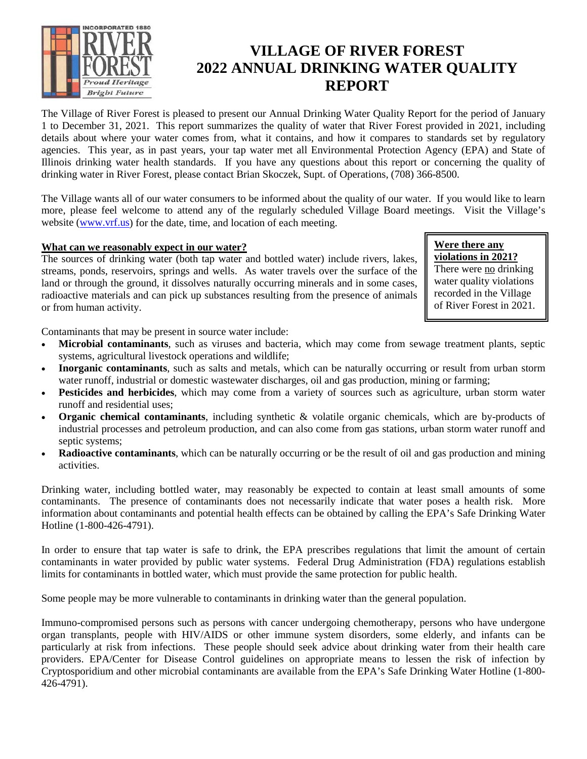

# **VILLAGE OF RIVER FOREST 2022 ANNUAL DRINKING WATER QUALITY REPORT**

The Village of River Forest is pleased to present our Annual Drinking Water Quality Report for the period of January 1 to December 31, 2021. This report summarizes the quality of water that River Forest provided in 2021, including details about where your water comes from, what it contains, and how it compares to standards set by regulatory agencies. This year, as in past years, your tap water met all Environmental Protection Agency (EPA) and State of Illinois drinking water health standards. If you have any questions about this report or concerning the quality of drinking water in River Forest, please contact Brian Skoczek, Supt. of Operations, (708) 366-8500.

The Village wants all of our water consumers to be informed about the quality of our water. If you would like to learn more, please feel welcome to attend any of the regularly scheduled Village Board meetings. Visit the Village's website (www.yrf.us) for the date, time, and location of each meeting.

# **What can we reasonably expect in our water?**

The sources of drinking water (both tap water and bottled water) include rivers, lakes, streams, ponds, reservoirs, springs and wells. As water travels over the surface of the land or through the ground, it dissolves naturally occurring minerals and in some cases, radioactive materials and can pick up substances resulting from the presence of animals or from human activity.

**Were there any violations in 2021?** There were no drinking water quality violations

recorded in the Village of River Forest in 2021.

Contaminants that may be present in source water include:

- **Microbial contaminants**, such as viruses and bacteria, which may come from sewage treatment plants, septic systems, agricultural livestock operations and wildlife;
- **Inorganic contaminants**, such as salts and metals, which can be naturally occurring or result from urban storm water runoff, industrial or domestic wastewater discharges, oil and gas production, mining or farming;
- **Pesticides and herbicides**, which may come from a variety of sources such as agriculture, urban storm water runoff and residential uses;
- **Organic chemical contaminants**, including synthetic & volatile organic chemicals, which are by-products of industrial processes and petroleum production, and can also come from gas stations, urban storm water runoff and septic systems;
- **Radioactive contaminants**, which can be naturally occurring or be the result of oil and gas production and mining activities.

Drinking water, including bottled water, may reasonably be expected to contain at least small amounts of some contaminants. The presence of contaminants does not necessarily indicate that water poses a health risk. More information about contaminants and potential health effects can be obtained by calling the EPA's Safe Drinking Water Hotline (1-800-426-4791).

In order to ensure that tap water is safe to drink, the EPA prescribes regulations that limit the amount of certain contaminants in water provided by public water systems. Federal Drug Administration (FDA) regulations establish limits for contaminants in bottled water, which must provide the same protection for public health.

Some people may be more vulnerable to contaminants in drinking water than the general population.

Immuno-compromised persons such as persons with cancer undergoing chemotherapy, persons who have undergone organ transplants, people with HIV/AIDS or other immune system disorders, some elderly, and infants can be particularly at risk from infections. These people should seek advice about drinking water from their health care providers. EPA/Center for Disease Control guidelines on appropriate means to lessen the risk of infection by Cryptosporidium and other microbial contaminants are available from the EPA's Safe Drinking Water Hotline (1-800- 426-4791).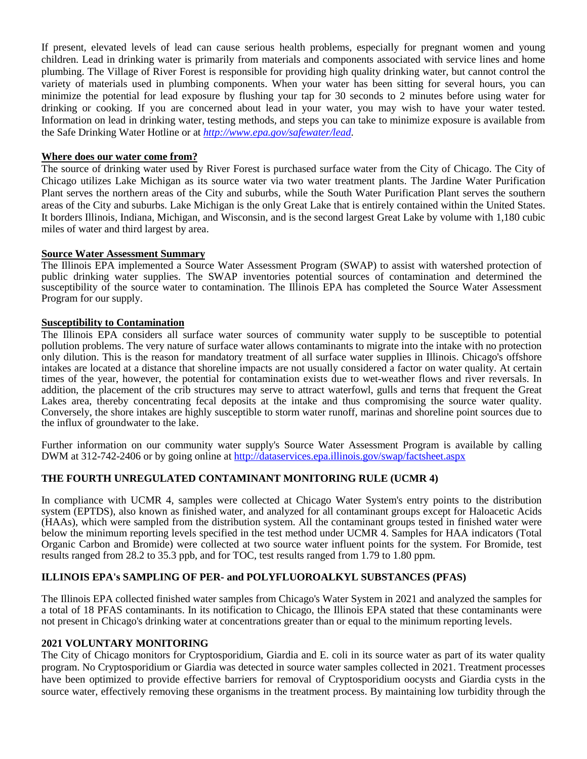If present, elevated levels of lead can cause serious health problems, especially for pregnant women and young children. Lead in drinking water is primarily from materials and components associated with service lines and home plumbing. The Village of River Forest is responsible for providing high quality drinking water, but cannot control the variety of materials used in plumbing components. When your water has been sitting for several hours, you can minimize the potential for lead exposure by flushing your tap for 30 seconds to 2 minutes before using water for drinking or cooking. If you are concerned about lead in your water, you may wish to have your water tested. Information on lead in drinking water, testing methods, and steps you can take to minimize exposure is available from the Safe Drinking Water Hotline or at *<http://www.epa.gov/safewater/lead>*.

### **Where does our water come from?**

The source of drinking water used by River Forest is purchased surface water from the City of Chicago. The City of Chicago utilizes Lake Michigan as its source water via two water treatment plants. The Jardine Water Purification Plant serves the northern areas of the City and suburbs, while the South Water Purification Plant serves the southern areas of the City and suburbs. Lake Michigan is the only Great Lake that is entirely contained within the United States. It borders Illinois, Indiana, Michigan, and Wisconsin, and is the second largest Great Lake by volume with 1,180 cubic miles of water and third largest by area.

#### **Source Water Assessment Summary**

The Illinois EPA implemented a Source Water Assessment Program (SWAP) to assist with watershed protection of public drinking water supplies. The SWAP inventories potential sources of contamination and determined the susceptibility of the source water to contamination. The Illinois EPA has completed the Source Water Assessment Program for our supply.

#### **Susceptibility to Contamination**

The Illinois EPA considers all surface water sources of community water supply to be susceptible to potential pollution problems. The very nature of surface water allows contaminants to migrate into the intake with no protection only dilution. This is the reason for mandatory treatment of all surface water supplies in Illinois. Chicago's offshore intakes are located at a distance that shoreline impacts are not usually considered a factor on water quality. At certain times of the year, however, the potential for contamination exists due to wet-weather flows and river reversals. In addition, the placement of the crib structures may serve to attract waterfowl, gulls and terns that frequent the Great Lakes area, thereby concentrating fecal deposits at the intake and thus compromising the source water quality. Conversely, the shore intakes are highly susceptible to storm water runoff, marinas and shoreline point sources due to the influx of groundwater to the lake.

Further information on our community water supply's Source Water Assessment Program is available by calling DWM at 312-742-2406 or by going online at<http://dataservices.epa.illinois.gov/swap/factsheet.aspx>

## **THE FOURTH UNREGULATED CONTAMINANT MONITORING RULE (UCMR 4)**

In compliance with UCMR 4, samples were collected at Chicago Water System's entry points to the distribution system (EPTDS), also known as finished water, and analyzed for all contaminant groups except for Haloacetic Acids (HAAs), which were sampled from the distribution system. All the contaminant groups tested in finished water were below the minimum reporting levels specified in the test method under UCMR 4. Samples for HAA indicators (Total Organic Carbon and Bromide) were collected at two source water influent points for the system. For Bromide, test results ranged from 28.2 to 35.3 ppb, and for TOC, test results ranged from 1.79 to 1.80 ppm.

## **ILLINOIS EPA's SAMPLING OF PER- and POLYFLUOROALKYL SUBSTANCES (PFAS)**

The Illinois EPA collected finished water samples from Chicago's Water System in 2021 and analyzed the samples for a total of 18 PFAS contaminants. In its notification to Chicago, the Illinois EPA stated that these contaminants were not present in Chicago's drinking water at concentrations greater than or equal to the minimum reporting levels.

#### **2021 VOLUNTARY MONITORING**

The City of Chicago monitors for Cryptosporidium, Giardia and E. coli in its source water as part of its water quality program. No Cryptosporidium or Giardia was detected in source water samples collected in 2021. Treatment processes have been optimized to provide effective barriers for removal of Cryptosporidium oocysts and Giardia cysts in the source water, effectively removing these organisms in the treatment process. By maintaining low turbidity through the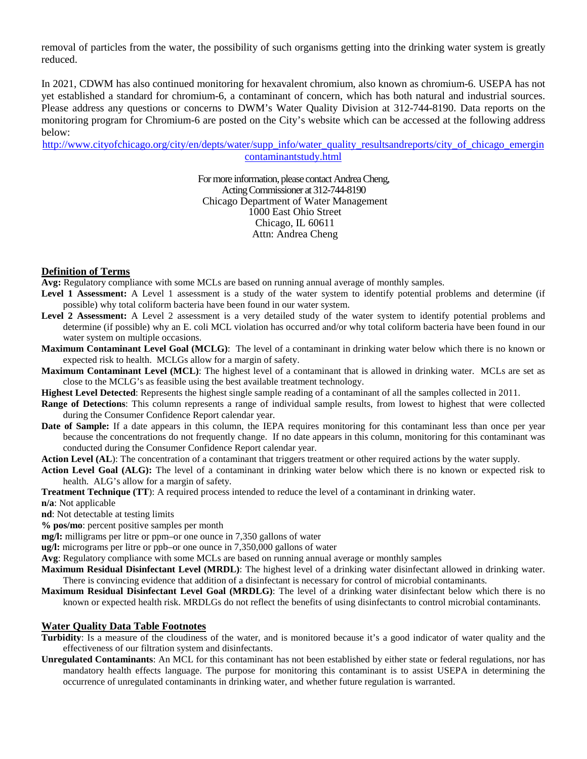removal of particles from the water, the possibility of such organisms getting into the drinking water system is greatly reduced.

In 2021, CDWM has also continued monitoring for hexavalent chromium, also known as chromium-6. USEPA has not yet established a standard for chromium-6, a contaminant of concern, which has both natural and industrial sources. Please address any questions or concerns to DWM's Water Quality Division at 312-744-8190. Data reports on the monitoring program for Chromium-6 are posted on the City's website which can be accessed at the following address below:

[http://www.cityofchicago.org/city/en/depts/water/supp\\_info/water\\_quality\\_resultsandreports/city\\_of\\_chicago\\_emergin](https://www.chicago.gov/city/en/depts/water/supp_info/water_quality_resultsandreports.html) [contaminantstudy.html](https://www.chicago.gov/city/en/depts/water/supp_info/water_quality_resultsandreports.html)

> For more information, please contact Andrea Cheng, Acting Commissioner at 312-744-8190 Chicago Department of Water Management 1000 East Ohio Street Chicago, IL 60611 Attn: Andrea Cheng

#### **Definition of Terms**

- **Avg:** Regulatory compliance with some MCLs are based on running annual average of monthly samples.
- Level 1 Assessment: A Level 1 assessment is a study of the water system to identify potential problems and determine (if possible) why total coliform bacteria have been found in our water system.
- Level 2 Assessment: A Level 2 assessment is a very detailed study of the water system to identify potential problems and determine (if possible) why an E. coli MCL violation has occurred and/or why total coliform bacteria have been found in our water system on multiple occasions.
- **Maximum Contaminant Level Goal (MCLG)**: The level of a contaminant in drinking water below which there is no known or expected risk to health. MCLGs allow for a margin of safety.
- **Maximum Contaminant Level (MCL)**: The highest level of a contaminant that is allowed in drinking water. MCLs are set as close to the MCLG's as feasible using the best available treatment technology.
- **Highest Level Detected**: Represents the highest single sample reading of a contaminant of all the samples collected in 2011.
- **Range of Detections**: This column represents a range of individual sample results, from lowest to highest that were collected during the Consumer Confidence Report calendar year.
- **Date of Sample:** If a date appears in this column, the IEPA requires monitoring for this contaminant less than once per year because the concentrations do not frequently change. If no date appears in this column, monitoring for this contaminant was conducted during the Consumer Confidence Report calendar year.
- **Action Level (AL**): The concentration of a contaminant that triggers treatment or other required actions by the water supply.
- **Action Level Goal (ALG):** The level of a contaminant in drinking water below which there is no known or expected risk to health. ALG's allow for a margin of safety.
- **Treatment Technique (TT**): A required process intended to reduce the level of a contaminant in drinking water.
- **n/a**: Not applicable
- **nd**: Not detectable at testing limits
- **% pos/mo**: percent positive samples per month
- **mg/l:** milligrams per litre or ppm–or one ounce in 7,350 gallons of water
- **ug/l:** micrograms per litre or ppb–or one ounce in 7,350,000 gallons of water
- **Avg**: Regulatory compliance with some MCLs are based on running annual average or monthly samples
- **Maximum Residual Disinfectant Level (MRDL)**: The highest level of a drinking water disinfectant allowed in drinking water. There is convincing evidence that addition of a disinfectant is necessary for control of microbial contaminants.
- **Maximum Residual Disinfectant Level Goal (MRDLG)**: The level of a drinking water disinfectant below which there is no known or expected health risk. MRDLGs do not reflect the benefits of using disinfectants to control microbial contaminants.

#### **Water Quality Data Table Footnotes**

- **Turbidity**: Is a measure of the cloudiness of the water, and is monitored because it's a good indicator of water quality and the effectiveness of our filtration system and disinfectants.
- **Unregulated Contaminants**: An MCL for this contaminant has not been established by either state or federal regulations, nor has mandatory health effects language. The purpose for monitoring this contaminant is to assist USEPA in determining the occurrence of unregulated contaminants in drinking water, and whether future regulation is warranted.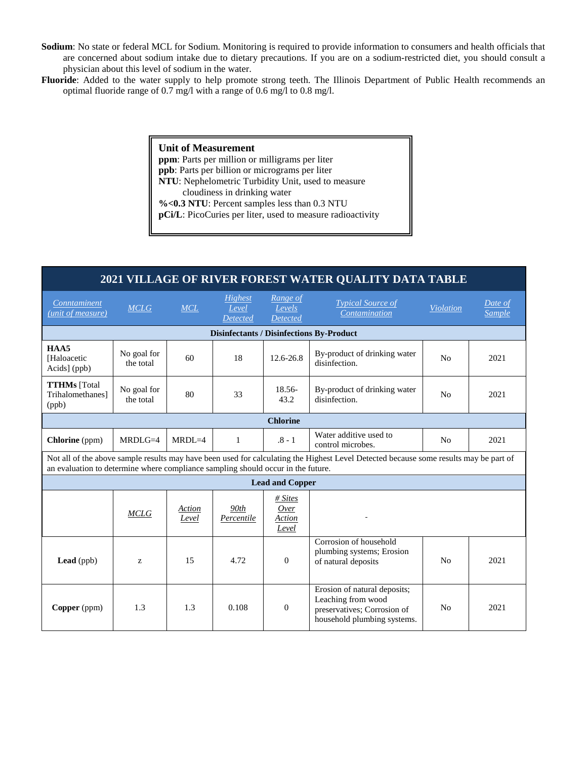- **Sodium**: No state or federal MCL for Sodium. Monitoring is required to provide information to consumers and health officials that are concerned about sodium intake due to dietary precautions. If you are on a sodium-restricted diet, you should consult a physician about this level of sodium in the water.
- **Fluoride**: Added to the water supply to help promote strong teeth. The Illinois Department of Public Health recommends an optimal fluoride range of 0.7 mg/l with a range of 0.6 mg/l to 0.8 mg/l.

#### **Unit of Measurement**

**ppm**: Parts per million or milligrams per liter **ppb**: Parts per billion or micrograms per liter **NTU**: Nephelometric Turbidity Unit, used to measure cloudiness in drinking water

**%<0.3 NTU**: Percent samples less than 0.3 NTU

**pCi/L**: PicoCuries per liter, used to measure radioactivity

| 2021 VILLAGE OF RIVER FOREST WATER QUALITY DATA TABLE                                                                                                                                                                     |                          |                 |                                     |                                       |                                                                                                                  |                  |                          |  |
|---------------------------------------------------------------------------------------------------------------------------------------------------------------------------------------------------------------------------|--------------------------|-----------------|-------------------------------------|---------------------------------------|------------------------------------------------------------------------------------------------------------------|------------------|--------------------------|--|
| Conntaminent<br>(unit of measure)                                                                                                                                                                                         | <b>MCLG</b>              | MCL             | Highest<br>Level<br><b>Detected</b> | Range of<br>Levels<br><b>Detected</b> | <b>Typical Source of</b><br>Contamination                                                                        | <b>Violation</b> | Date of<br><b>Sample</b> |  |
| <b>Disinfectants / Disinfections By-Product</b>                                                                                                                                                                           |                          |                 |                                     |                                       |                                                                                                                  |                  |                          |  |
| HAA5<br>[Haloacetic<br>Acids] (ppb)                                                                                                                                                                                       | No goal for<br>the total | 60              | 18                                  | 12.6-26.8                             | By-product of drinking water<br>disinfection.                                                                    | N <sub>0</sub>   | 2021                     |  |
| <b>TTHMs</b> [Total<br>Trihalomethanes]<br>(ppb)                                                                                                                                                                          | No goal for<br>the total | 80              | 33                                  | $18.56 -$<br>43.2                     | By-product of drinking water<br>disinfection.                                                                    | N <sub>0</sub>   | 2021                     |  |
| <b>Chlorine</b>                                                                                                                                                                                                           |                          |                 |                                     |                                       |                                                                                                                  |                  |                          |  |
| <b>Chlorine</b> (ppm)                                                                                                                                                                                                     | $MRDI.G=4$               | $MRDI = 4$      | $\mathbf{1}$                        | $.8 - 1$                              | Water additive used to<br>control microbes.                                                                      | N <sub>0</sub>   | 2021                     |  |
| Not all of the above sample results may have been used for calculating the Highest Level Detected because some results may be part of<br>an evaluation to determine where compliance sampling should occur in the future. |                          |                 |                                     |                                       |                                                                                                                  |                  |                          |  |
| <b>Lead and Copper</b>                                                                                                                                                                                                    |                          |                 |                                     |                                       |                                                                                                                  |                  |                          |  |
|                                                                                                                                                                                                                           | <b>MCLG</b>              | Action<br>Level | 90th<br>Percentile                  | # Sites<br>Over<br>Action<br>Level    |                                                                                                                  |                  |                          |  |
| Lead (ppb)                                                                                                                                                                                                                | Z.                       | 15              | 4.72                                | $\Omega$                              | Corrosion of household<br>plumbing systems; Erosion<br>of natural deposits                                       | N <sub>0</sub>   | 2021                     |  |
| Copper (ppm)                                                                                                                                                                                                              | 1.3                      | 1.3             | 0.108                               | $\Omega$                              | Erosion of natural deposits;<br>Leaching from wood<br>preservatives; Corrosion of<br>household plumbing systems. | N <sub>0</sub>   | 2021                     |  |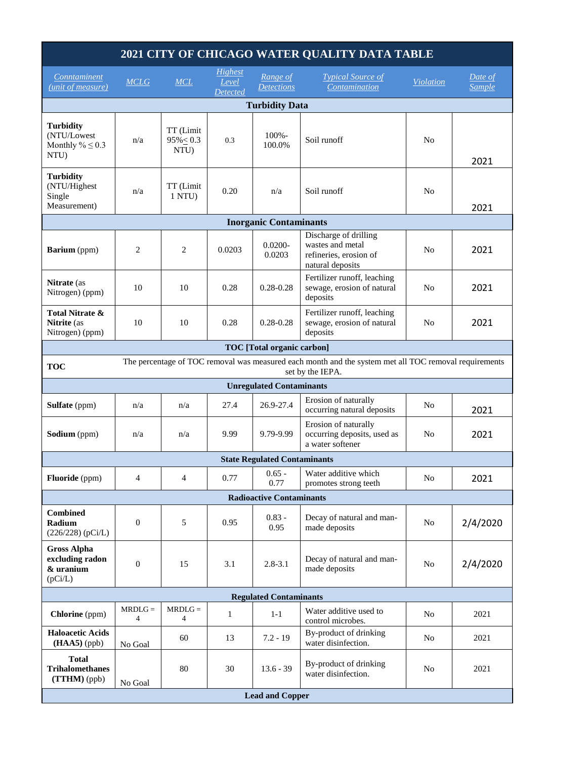| 2021 CITY OF CHICAGO WATER QUALITY DATA TABLE                                                                                           |                  |                                     |                              |                                 |                                                                                         |                  |                          |  |
|-----------------------------------------------------------------------------------------------------------------------------------------|------------------|-------------------------------------|------------------------------|---------------------------------|-----------------------------------------------------------------------------------------|------------------|--------------------------|--|
| <b>Conntaminent</b><br>(unit of measure)                                                                                                | $MCLG$           | $MCL$                               | Highest<br>Level<br>Detected | Range of<br><i>Detections</i>   | <b>Typical Source of</b><br>Contamination                                               | <b>Violation</b> | Date of<br><b>Sample</b> |  |
| <b>Turbidity Data</b>                                                                                                                   |                  |                                     |                              |                                 |                                                                                         |                  |                          |  |
| <b>Turbidity</b><br>(NTU/Lowest<br>Monthly $\% \leq 0.3$<br>NTU)                                                                        | n/a              | TT (Limit<br>$95\% \le 0.3$<br>NTU) | 0.3                          | $100% -$<br>100.0%              | Soil runoff                                                                             | No               | 2021                     |  |
| <b>Turbidity</b><br>(NTU/Highest<br>Single<br>Measurement)                                                                              | n/a              | TT (Limit<br>1 NTU                  | 0.20                         | n/a                             | Soil runoff                                                                             | N <sub>o</sub>   | 2021                     |  |
|                                                                                                                                         |                  |                                     |                              | <b>Inorganic Contaminants</b>   |                                                                                         |                  |                          |  |
| Barium (ppm)                                                                                                                            | 2                | 2                                   | 0.0203                       | $0.0200 -$<br>0.0203            | Discharge of drilling<br>wastes and metal<br>refineries, erosion of<br>natural deposits | N <sub>0</sub>   | 2021                     |  |
| <b>Nitrate</b> (as<br>Nitrogen) (ppm)                                                                                                   | 10               | 10                                  | 0.28                         | $0.28 - 0.28$                   | Fertilizer runoff, leaching<br>sewage, erosion of natural<br>deposits                   | N <sub>o</sub>   | 2021                     |  |
| Total Nitrate &<br>Nitrite (as<br>Nitrogen) (ppm)                                                                                       | 10               | 10                                  | 0.28                         | $0.28 - 0.28$                   | Fertilizer runoff, leaching<br>sewage, erosion of natural<br>deposits                   | No               | 2021                     |  |
| <b>TOC</b> [Total organic carbon]                                                                                                       |                  |                                     |                              |                                 |                                                                                         |                  |                          |  |
| The percentage of TOC removal was measured each month and the system met all TOC removal requirements<br><b>TOC</b><br>set by the IEPA. |                  |                                     |                              |                                 |                                                                                         |                  |                          |  |
| <b>Unregulated Contaminants</b>                                                                                                         |                  |                                     |                              |                                 |                                                                                         |                  |                          |  |
| <b>Sulfate</b> (ppm)                                                                                                                    | n/a              | n/a                                 | 27.4                         | 26.9-27.4                       | Erosion of naturally<br>occurring natural deposits                                      | No               | 2021                     |  |
| <b>Sodium</b> (ppm)                                                                                                                     | n/a              | n/a                                 | 9.99                         | 9.79-9.99                       | Erosion of naturally<br>occurring deposits, used as<br>a water softener                 | No               | 2021                     |  |
| <b>State Regulated Contaminants</b>                                                                                                     |                  |                                     |                              |                                 |                                                                                         |                  |                          |  |
| <b>Fluoride</b> (ppm)                                                                                                                   | 4                | 4                                   | 0.77                         | $0.65 -$<br>0.77                | Water additive which<br>promotes strong teeth                                           | No               | 2021                     |  |
|                                                                                                                                         |                  |                                     |                              | <b>Radioactive Contaminants</b> |                                                                                         |                  |                          |  |
| <b>Combined</b><br>Radium<br>$(226/228)$ (pCi/L)                                                                                        | $\boldsymbol{0}$ | 5                                   | 0.95                         | $0.83 -$<br>0.95                | Decay of natural and man-<br>made deposits                                              | No               | 2/4/2020                 |  |
| <b>Gross Alpha</b><br>excluding radon<br>& uranium<br>(pCi/L)                                                                           | $\boldsymbol{0}$ | 15                                  | 3.1                          | $2.8 - 3.1$                     | Decay of natural and man-<br>made deposits                                              | N <sub>o</sub>   | 2/4/2020                 |  |
| <b>Regulated Contaminants</b>                                                                                                           |                  |                                     |                              |                                 |                                                                                         |                  |                          |  |
| Chlorine (ppm)                                                                                                                          | $MRDLG =$<br>4   | $MRDLG =$<br>4                      | $\mathbf{1}$                 | $1 - 1$                         | Water additive used to<br>control microbes.                                             | N <sub>o</sub>   | 2021                     |  |
| <b>Haloacetic Acids</b><br>$(HAA5)$ (ppb)                                                                                               | No Goal          | 60                                  | 13                           | $7.2 - 19$                      | By-product of drinking<br>water disinfection.                                           | N <sub>o</sub>   | 2021                     |  |
| <b>Total</b><br><b>Trihalomethanes</b><br>(TTHM) (ppb)                                                                                  | No Goal          | 80                                  | 30                           | $13.6 - 39$                     | By-product of drinking<br>water disinfection.                                           | No               | 2021                     |  |
| <b>Lead and Copper</b>                                                                                                                  |                  |                                     |                              |                                 |                                                                                         |                  |                          |  |